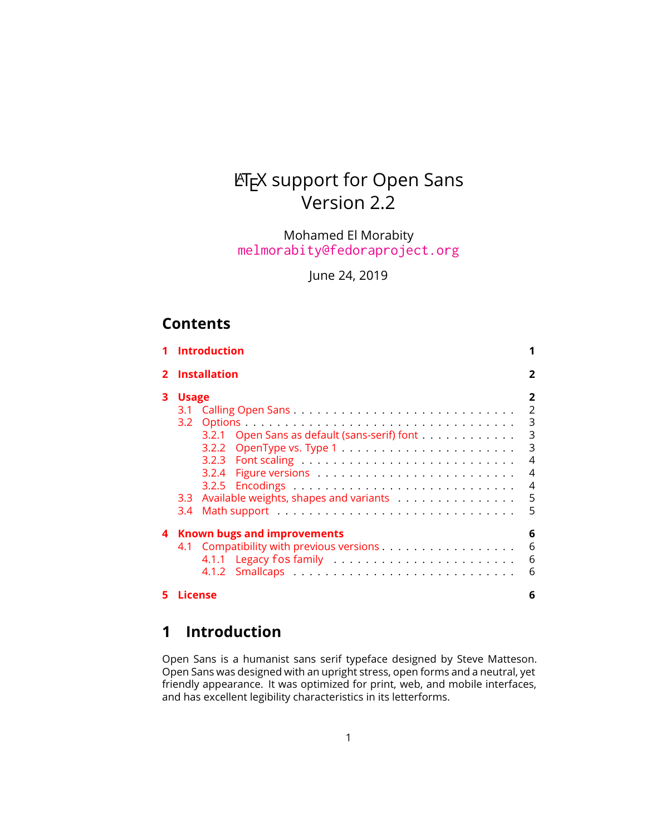# LATEX support for Open Sans Version 2.2

Mohamed El Morabity [melmorabity@fedoraproject.org](mailto:melmorabity@fedoraproject.org)

June 24, 2019

# **Contents**

|    | <b>Introduction</b>                                                                                                                                               |                                                             |
|----|-------------------------------------------------------------------------------------------------------------------------------------------------------------------|-------------------------------------------------------------|
|    | <b>Installation</b>                                                                                                                                               |                                                             |
| 3. | <b>Usage</b><br>3.1<br>3.2<br>3.2.1 Open Sans as default (sans-serif) font<br>3.2.2<br>3.2.4<br>Available weights, shapes and variants<br>3.3 <sub>1</sub><br>3.4 | 2<br>$\overline{2}$<br>3<br>3<br>3<br>4<br>4<br>4<br>5<br>5 |
| 4  | Known bugs and improvements<br>4.1 Compatibility with previous versions                                                                                           | 6<br>6<br>6<br>6                                            |
|    | License                                                                                                                                                           | 6                                                           |

# <span id="page-0-0"></span>**1 Introduction**

Open Sans is a humanist sans serif typeface designed by Steve Matteson. Open Sans was designed with an upright stress, open forms and a neutral, yet friendly appearance. It was optimized for print, web, and mobile interfaces, and has excellent legibility characteristics in its letterforms.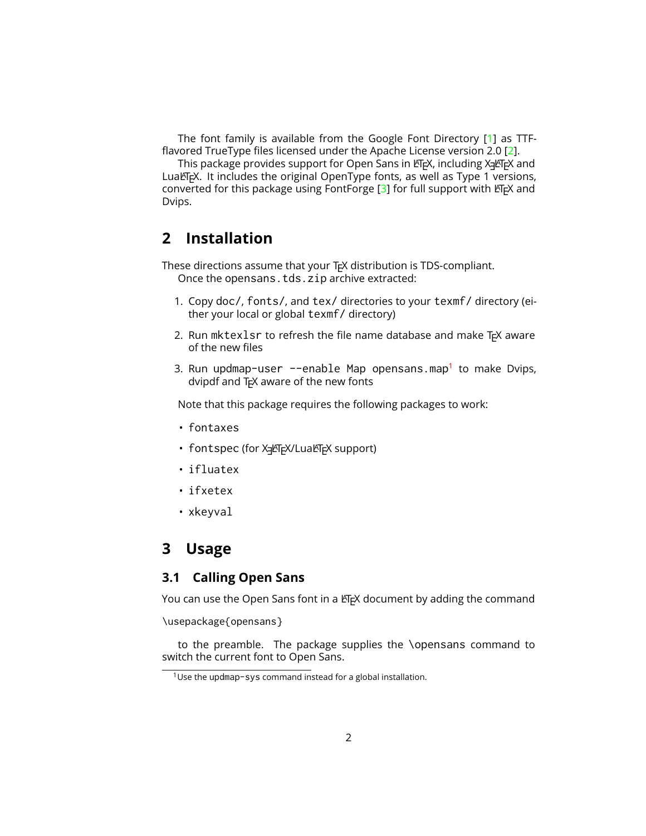The font family is available from the Google Font Directory [\[1\]](#page-5-5) as TTFflavored TrueType files licensed under the Apache License version 2.0 [\[2\]](#page-5-6).

This package provides support for Open Sans in LTEX, including X  $\pm$  ETEX and LuaLTFX. It includes the original OpenType fonts, as well as Type 1 versions, converted for this package using FontForge  $[3]$  for full support with  $\mathbb{F}$ FX and Dvips.

# <span id="page-1-0"></span>**2 Installation**

These directions assume that your T<sub>F</sub>X distribution is TDS-compliant. Once the opensans.tds.zip archive extracted:

- 1. Copy doc/, fonts/, and tex/ directories to your texmf/ directory (either your local or global texmf/ directory)
- 2. Run mktexlsr to refresh the file name database and make  $Tr X$  aware of the new files
- 3. Run updmap-user --enable Map opensans.map<sup>[1](#page-1-3)</sup> to make Dvips, dvipdf and  $Tr[X]$  aware of the new fonts

Note that this package requires the following packages to work:

- fontaxes
- fontspec (for Xגַן AT<sub>E</sub>X/Luaদck support)
- ifluatex
- ifxetex
- xkeyval

## <span id="page-1-1"></span>**3 Usage**

### <span id="page-1-2"></span>**3.1 Calling Open Sans**

You can use the Open Sans font in a LATEX document by adding the command

\usepackage{opensans}

to the preamble. The package supplies the \opensans command to switch the current font to Open Sans.

<span id="page-1-3"></span> $1$ Use the updmap-sys command instead for a global installation.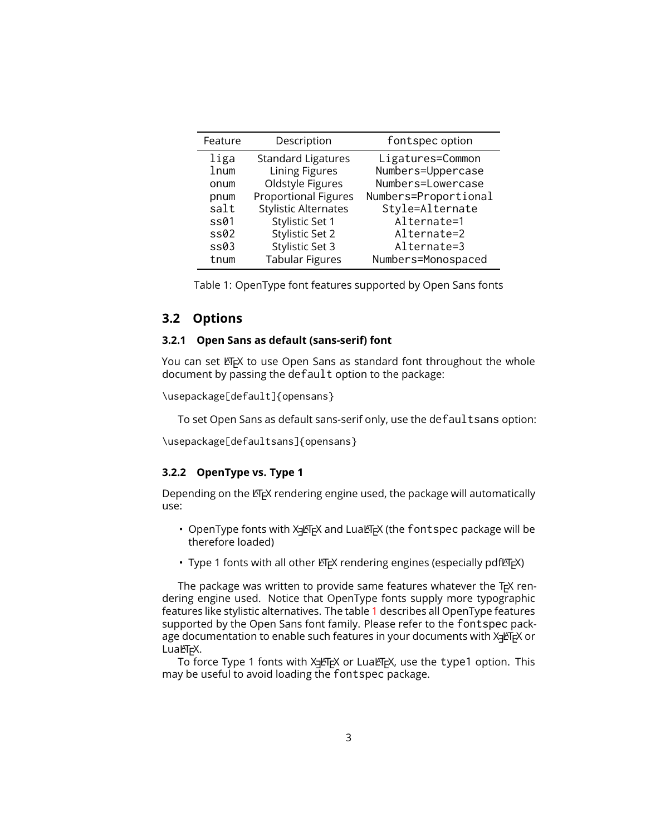| Feature | Description                 | fontspec option      |  |
|---------|-----------------------------|----------------------|--|
| liga    | <b>Standard Ligatures</b>   | Ligatures=Common     |  |
| lnum    | <b>Lining Figures</b>       | Numbers=Uppercase    |  |
| onum    | Oldstyle Figures            | Numbers=Lowercase    |  |
| pnum    | <b>Proportional Figures</b> | Numbers=Proportional |  |
| salt    | <b>Stylistic Alternates</b> | Style=Alternate      |  |
| ss01    | Stylistic Set 1             | Alternate=1          |  |
| ss02    | Stylistic Set 2             | Alternate=2          |  |
| ss03    | <b>Stylistic Set 3</b>      | Alternate=3          |  |
| tnum    | <b>Tabular Figures</b>      | Numbers=Monospaced   |  |

<span id="page-2-3"></span>Table 1: OpenType font features supported by Open Sans fonts

### <span id="page-2-0"></span>**3.2 Options**

#### <span id="page-2-1"></span>**3.2.1 Open Sans as default (sans-serif) font**

You can set LATEX to use Open Sans as standard font throughout the whole document by passing the default option to the package:

```
\usepackage[default]{opensans}
```
To set Open Sans as default sans-serif only, use the defaultsans option:

\usepackage[defaultsans]{opensans}

#### <span id="page-2-2"></span>**3.2.2 OpenType vs. Type 1**

Depending on the ETEX rendering engine used, the package will automatically use:

- $\bullet$  OpenType fonts with X-PIEX and LuaLTEX (the <code>fontspec</code> package will be therefore loaded)
- Type 1 fonts with all other LATEX rendering engines (especially pdfLATEX)

The package was written to provide same features whatever the  $Tr X$  rendering engine used. Notice that OpenType fonts supply more typographic features like stylistic alternatives. The table [1](#page-2-3) describes all OpenType features supported by the Open Sans font family. Please refer to the fontspec package documentation to enable such features in your documents with X<sub>3</sub>LT<sub>E</sub>X or  $Lu$ al $ET$ <sub>E</sub>X.

To force Type 1 fonts with X-LTEX or LuaLTEX, use the <code>type1</code> option. This may be useful to avoid loading the fontspec package.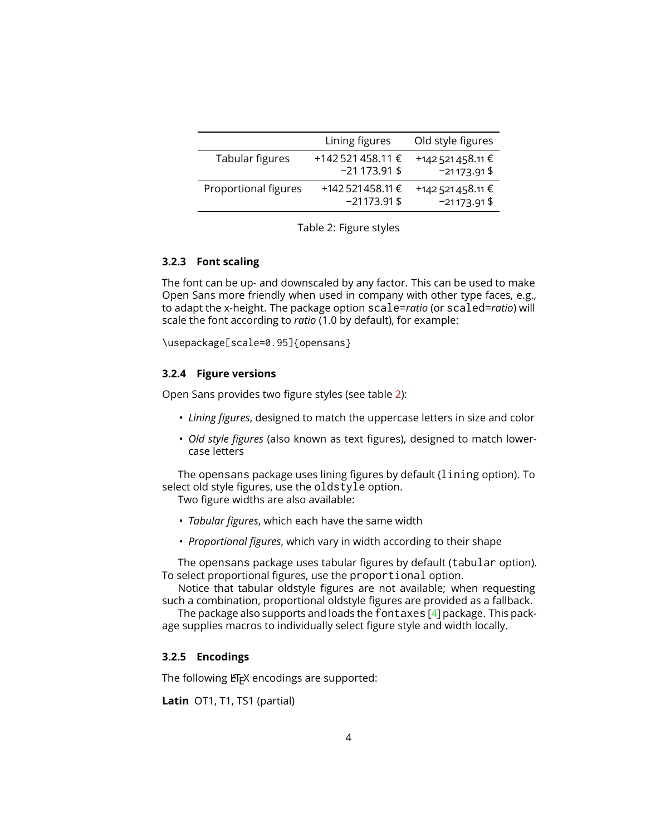|                      | Lining figures                      | Old style figures                   |
|----------------------|-------------------------------------|-------------------------------------|
| Tabular figures      | +142 521 458.11 €<br>$-21173.91$ \$ | +142 521 458.11 €<br>$-21173.91$ \$ |
| Proportional figures | +142 521 458.11 €<br>$-21173.91$ \$ | +142 521 458.11 €<br>$-21173.91$ \$ |

<span id="page-3-3"></span>

#### <span id="page-3-0"></span>**3.2.3 Font scaling**

The font can be up- and downscaled by any factor. This can be used to make Open Sans more friendly when used in company with other type faces, e.g., to adapt the x-height. The package option scale=*ratio* (or scaled=*ratio*) will scale the font according to *ratio* (1.0 by default), for example:

\usepackage[scale=0.95]{opensans}

#### <span id="page-3-1"></span>**3.2.4 Figure versions**

Open Sans provides two figure styles (see table [2\)](#page-3-3):

- *Lining figures*, designed to match the uppercase letters in size and color
- *Old style figures* (also known as text figures), designed to match lowercase letters

The opensans package uses lining figures by default (lining option). To select old style figures, use the oldstyle option.

Two figure widths are also available:

- *Tabular figures*, which each have the same width
- *Proportional figures*, which vary in width according to their shape

The opensans package uses tabular figures by default (tabular option). To select proportional figures, use the proportional option.

Notice that tabular oldstyle figures are not available; when requesting such a combination, proportional oldstyle figures are provided as a fallback.

The package also supports and loads the fontaxes [\[4\]](#page-6-0) package. This package supplies macros to individually select figure style and width locally.

#### <span id="page-3-2"></span>**3.2.5 Encodings**

The following LATEX encodings are supported:

Latin OT1, T1, TS1 (partial)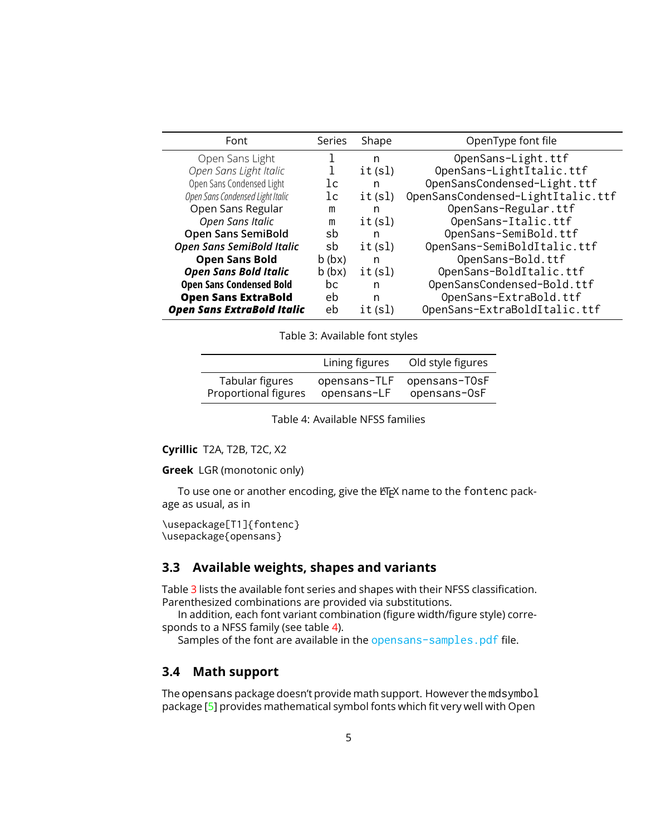| Font                              | Series         | Shape  | OpenType font file                |
|-----------------------------------|----------------|--------|-----------------------------------|
| Open Sans Light                   |                | n      | OpenSans-Light.ttf                |
| Open Sans Light Italic            |                | it(s)  | OpenSans-LightItalic.ttf          |
| Open Sans Condensed Light         | lc             | n      | OpenSansCondensed-Light.ttf       |
| Open Sans Condensed Light Italic  | 1 <sub>c</sub> | it(s)  | OpenSansCondensed-LightItalic.ttf |
| Open Sans Regular                 | m              | n      | OpenSans-Regular.ttf              |
| Open Sans Italic                  | m              | it(sl) | OpenSans-Italic.ttf               |
| <b>Open Sans SemiBold</b>         | sb             | n      | OpenSans-SemiBold.ttf             |
| Open Sans SemiBold Italic         | sb             | it(sl) | OpenSans-SemiBoldItalic.ttf       |
| <b>Open Sans Bold</b>             | $b$ ( $bx$ )   | n      | OpenSans-Bold.ttf                 |
| <b>Open Sans Bold Italic</b>      | $b$ (bx)       | it(s)  | OpenSans-BoldItalic.ttf           |
| <b>Open Sans Condensed Bold</b>   | bc             | n      | OpenSansCondensed-Bold.ttf        |
| <b>Open Sans ExtraBold</b>        | eb             | n      | OpenSans-ExtraBold.ttf            |
| <b>Open Sans ExtraBold Italic</b> | eb             | it(sl) | OpenSans-ExtraBoldItalic.ttf      |

<span id="page-4-2"></span>Table 3: Available font styles

|                      | Lining figures | Old style figures |
|----------------------|----------------|-------------------|
| Tabular figures      | opensans-TLF   | opensans-T0sF     |
| Proportional figures | opensans-LF    | opensans-OsF      |

<span id="page-4-3"></span>Table 4: Available NFSS families

**Cyrillic** T2A, T2B, T2C, X2

**Greek** LGR (monotonic only)

To use one or another encoding, give the LATEX name to the fontenc package as usual, as in

```
\usepackage[T1]{fontenc}
\usepackage{opensans}
```
### <span id="page-4-0"></span>**3.3 Available weights, shapes and variants**

Table [3](#page-4-2) lists the available font series and shapes with their NFSS classification. Parenthesized combinations are provided via substitutions.

In addition, each font variant combination (figure width/figure style) corresponds to a NFSS family (see table [4\)](#page-4-3).

Samples of the font are available in the opensans-samples.pdf file.

### <span id="page-4-1"></span>**3.4 Math support**

The opensans package doesn't provide math support. However the mdsymbol package [\[5\]](#page-6-1) provides mathematical symbol fonts which fit very well with Open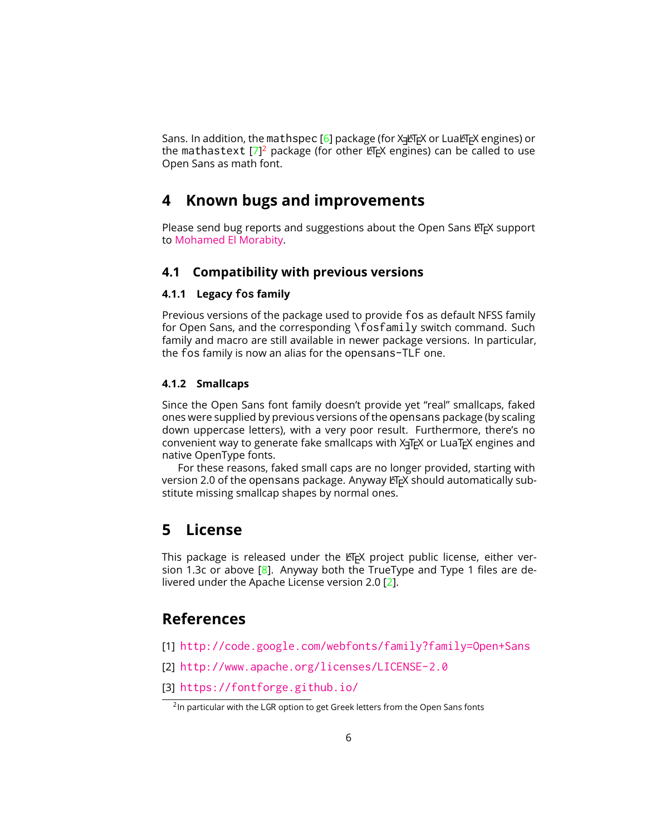Sans. In addition, the mathspec [\[6\]](#page-6-2) package (for X K EX or LuaLT EX engines) or the mathastext  $[7]^2$  $[7]^2$  $[7]^2$  package (for other  $\mathbb{F}$ FX engines) can be called to use Open Sans as math font.

# <span id="page-5-0"></span>**4 Known bugs and improvements**

Please send bug reports and suggestions about the Open Sans LATEX support to [Mohamed El Morabity.](mailto:melmorabity@fedoraproject.org)

### <span id="page-5-1"></span>**4.1 Compatibility with previous versions**

#### <span id="page-5-2"></span>**4.1.1 Legacy fos family**

Previous versions of the package used to provide fos as default NFSS family for Open Sans, and the corresponding \fosfamily switch command. Such family and macro are still available in newer package versions. In particular, the fos family is now an alias for the opensans-TLF one.

#### <span id="page-5-3"></span>**4.1.2 Smallcaps**

Since the Open Sans font family doesn't provide yet "real" smallcaps, faked ones were supplied by previous versions of the opensans package (by scaling down uppercase letters), with a very poor result. Furthermore, there's no convenient way to generate fake smallcaps with  $X \rightarrow Y$  or LuaT<sub>EX</sub> engines and native OpenType fonts.

For these reasons, faked small caps are no longer provided, starting with version 2.0 of the opensans package. Anyway LTFX should automatically substitute missing smallcap shapes by normal ones.

### <span id="page-5-4"></span>**5 License**

This package is released under the LATEX project public license, either version 1.3c or above  $[8]$ . Anyway both the TrueType and Type 1 files are delivered under the Apache License version 2.0 [\[2\]](#page-5-6).

### **References**

- <span id="page-5-5"></span>[1] <http://code.google.com/webfonts/family?family=Open+Sans>
- <span id="page-5-6"></span>[2] <http://www.apache.org/licenses/LICENSE-2.0>
- <span id="page-5-7"></span>[3] <https://fontforge.github.io/>

<span id="page-5-8"></span><sup>&</sup>lt;sup>2</sup>In particular with the LGR option to get Greek letters from the Open Sans fonts